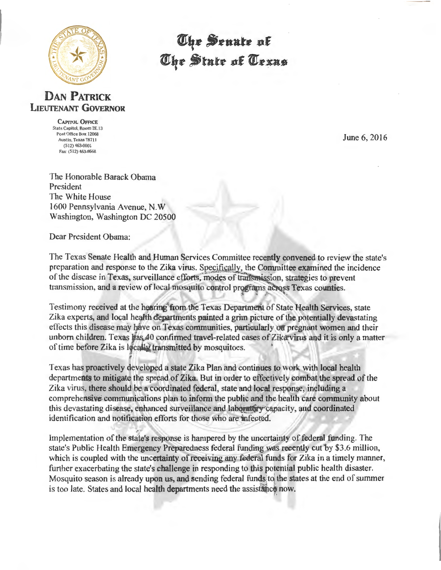

The Senate of The State of Texas

## **DAN PATRICK** LIEUTENANT GOVERNOR

CAPITOL OFFICE State Capitol, Room 2E.13 Post Office Box 12068 Austin, Texas 78711 (512) 463-0001 Fax: (512) 463-8668

June 6, 2016

The Honorable Barack Obama President The White House 1600 Pennsylvania Avenue, N.W Washington, Washington DC 20500

Dear President Obama:

The Texas Senate Health and Human Services Committee recently convened to review the state's preparation and response to the Zika virus. Specifically, the Committee examined the incidence of the disease in Texas, surveillance efforts, modes of transmission, strategies to prevent transmission, and a review of local mosquito control programs across Texas counties.

Testimony received at the hearing from the Texas Department of State Health Services, state Zika experts, and local health departments painted a grim picture of the potentially devastating effects this disease may have on Texas communities, particularly on pregnant women and their unborn children. Texas has 40 confirmed travel-related cases of Zika virus and it is only a matter of time before Zika is locally transmitted by mosquitoes.

Texas has proactively developed a state Zika Plan and continues to work with local health departments to mitigate the spread of Zika. But in order to effectively combat the spread of the Zika virus, there should be a coordinated federal, state and local response, including a comprehensive communications plan to inform the public and the health care community about this devastating disease, enhanced surveillance and laboratory capacity, and coordinated identification and notification efforts for those who are infected.

Implementation of the state's response is hampered by the uncertainty of federal funding. The state's Public Health Emergency Preparedness federal funding was recently cut by \$3.6 million, which is coupled with the uncertainty of receiving any federal funds for Zika in a timely manner, further exacerbating the state's challenge in responding to this potential public health disaster. Mosquito season is already upon us, and sending federal funds to the states at the end of summer is too late. States and local health departments need the assistance now.